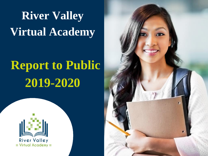**River Valley Virtual Academy**

## **Report to Public 2019-2020**



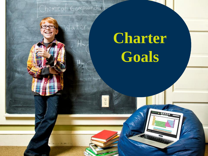[Chemical Compounds]

Water

# **Charter Goals**

**MENT & BEBBB**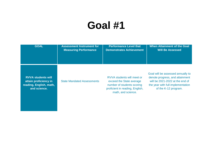| <b>GOAL</b>                                                                                   | <b>Assessment Instrument for</b>  | <b>Performance Level that</b>                                                                                                                 | <b>When Attainment of the Goal</b>                                                                                                                                   |
|-----------------------------------------------------------------------------------------------|-----------------------------------|-----------------------------------------------------------------------------------------------------------------------------------------------|----------------------------------------------------------------------------------------------------------------------------------------------------------------------|
|                                                                                               | <b>Measuring Performance</b>      | <b>Demonstrates Achievement</b>                                                                                                               | <b>Will Be Assessed</b>                                                                                                                                              |
| <b>RVVA students will</b><br>attain proficiency in<br>reading, English, math,<br>and science. | <b>State Mandated Assessments</b> | RVVA students will meet or<br>exceed the State average<br>number of students scoring<br>proficient in reading, English,<br>math, and science. | Goal will be assessed annually to<br>denote progress, and attainment<br>will be 2021-2022 at the end of<br>the year with full implementation<br>of the K-12 program. |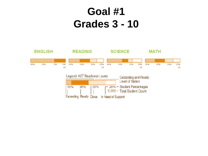#### **Goal #1 Grades 3 - 10**

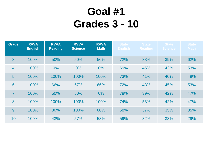### **Goal #1 Grades 3 - 10**

| <b>Grade</b>    | <b>RVVA</b><br><b>English</b> | <b>RVVA</b><br><b>Reading</b> | <b>RVVA</b><br><b>Science</b> | <b>RVVA</b><br><b>Math</b> | <b>State</b><br><b>English</b> | <b>State</b><br><b>Reading</b> | <b>State</b><br>Science | <b>State</b><br><b>Math</b> |
|-----------------|-------------------------------|-------------------------------|-------------------------------|----------------------------|--------------------------------|--------------------------------|-------------------------|-----------------------------|
| 3               | 100%                          | 50%                           | 50%                           | 50%                        | 72%                            | 38%                            | 39%                     | 62%                         |
| $\overline{4}$  | 100%                          | 0%                            | $0\%$                         | $0\%$                      | 69%                            | 45%                            | 42%                     | 53%                         |
| $5\overline{)}$ | 100%                          | 100%                          | 100%                          | 100%                       | 73%                            | 41%                            | 40%                     | 49%                         |
| $6\phantom{1}6$ | 100%                          | 66%                           | 67%                           | 66%                        | 72%                            | 43%                            | 45%                     | 53%                         |
| $\overline{7}$  | 100%                          | 50%                           | 50%                           | $0\%$                      | 78%                            | 39%                            | 42%                     | 47%                         |
| 8               | 100%                          | 100%                          | 100%                          | 100%                       | 74%                            | 53%                            | 42%                     | 47%                         |
| 9               | 100%                          | 80%                           | 100%                          | 60%                        | 58%                            | 37%                            | 35%                     | 35%                         |
| 10              | 100%                          | 43%                           | 57%                           | 58%                        | 59%                            | 32%                            | 33%                     | 29%                         |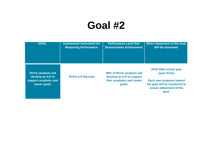| <b>GOAL</b>                                                                             | <b>Assessment Instrument for</b> | <b>Performance Level that</b>                                                                 | When Attainment of the Goal                                                                                                              |
|-----------------------------------------------------------------------------------------|----------------------------------|-----------------------------------------------------------------------------------------------|------------------------------------------------------------------------------------------------------------------------------------------|
|                                                                                         | <b>Measuring Performance</b>     | <b>Demonstrates Achievement</b>                                                               | <b>Will Be Assessed</b>                                                                                                                  |
| <b>RVVA students will</b><br>develop an ILP to<br>support academic and<br>career goals. | <b>RVVA ILP Records</b>          | 99% of RVVA students will<br>develop an ILP to support<br>their academic and career<br>goals. | 2019-2020 school year<br>(year three)<br>Each year progress toward<br>the goal will be monitored to<br>ensure attainment of the<br>goal. |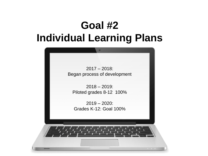#### **Goal #2 Individual Learning Plans**

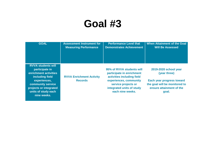| <b>GOAL</b>                                                                                                                                                                                  | <b>Assessment Instrument for</b>                  | <b>Performance Level that</b>                                                                                                                                                          | <b>When Attainment of the Goal</b>                                                                                                       |
|----------------------------------------------------------------------------------------------------------------------------------------------------------------------------------------------|---------------------------------------------------|----------------------------------------------------------------------------------------------------------------------------------------------------------------------------------------|------------------------------------------------------------------------------------------------------------------------------------------|
|                                                                                                                                                                                              | <b>Measuring Performance</b>                      | <b>Demonstrates Achievement</b>                                                                                                                                                        | <b>Will Be Assessed</b>                                                                                                                  |
| <b>RVVA students will</b><br>participate in<br>enrichment activities<br>including field<br>experiences,<br>community service<br>projects or integrated<br>units of study each<br>nine weeks. | <b>RVVA Enrichment Activity</b><br><b>Records</b> | 95% of RVVA students will<br>participate in enrichment<br>activities including field<br>experiences, community<br>service projects or<br>integrated units of study<br>each nine weeks. | 2019-2020 school year<br>(year three)<br>Each year progress toward<br>the goal will be monitored to<br>ensure attainment of the<br>goal. |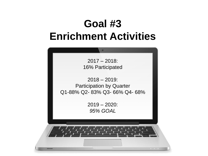#### **Goal #3 Enrichment Activities**

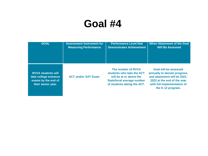| <b>GOAL</b>                                                                                     | <b>Assessment Instrument for</b> | <b>Performance Level that</b>                                                                                                           | <b>When Attainment of the Goal</b>                                                                                                                                              |
|-------------------------------------------------------------------------------------------------|----------------------------------|-----------------------------------------------------------------------------------------------------------------------------------------|---------------------------------------------------------------------------------------------------------------------------------------------------------------------------------|
|                                                                                                 | <b>Measuring Performance</b>     | <b>Demonstrates Achievement</b>                                                                                                         | <b>Will Be Assessed</b>                                                                                                                                                         |
| <b>RVVA students will</b><br>take college entrance<br>exams by the end of<br>their senior year. | <b>ACT and/or SAT Exam</b>       | The number of RVVA<br>students who take the ACT<br>will be at or above the<br>State/local average number<br>of students taking the ACT. | <b>Goal will be assessed</b><br>annually to denote progress,<br>and attainment will be 2021-<br>2022 at the end of the year<br>with full implementation of<br>the K-12 program. |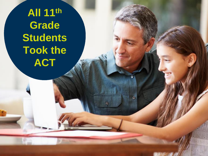**All 11th Grade Students Took the ACT**

ä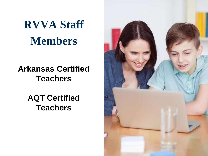**RVVA Staff Members**

#### **Arkansas Certified Teachers**

**AQT Certified Teachers** 

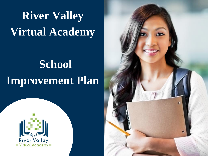## **River Valley Virtual Academy**

## **School Improvement Plan**